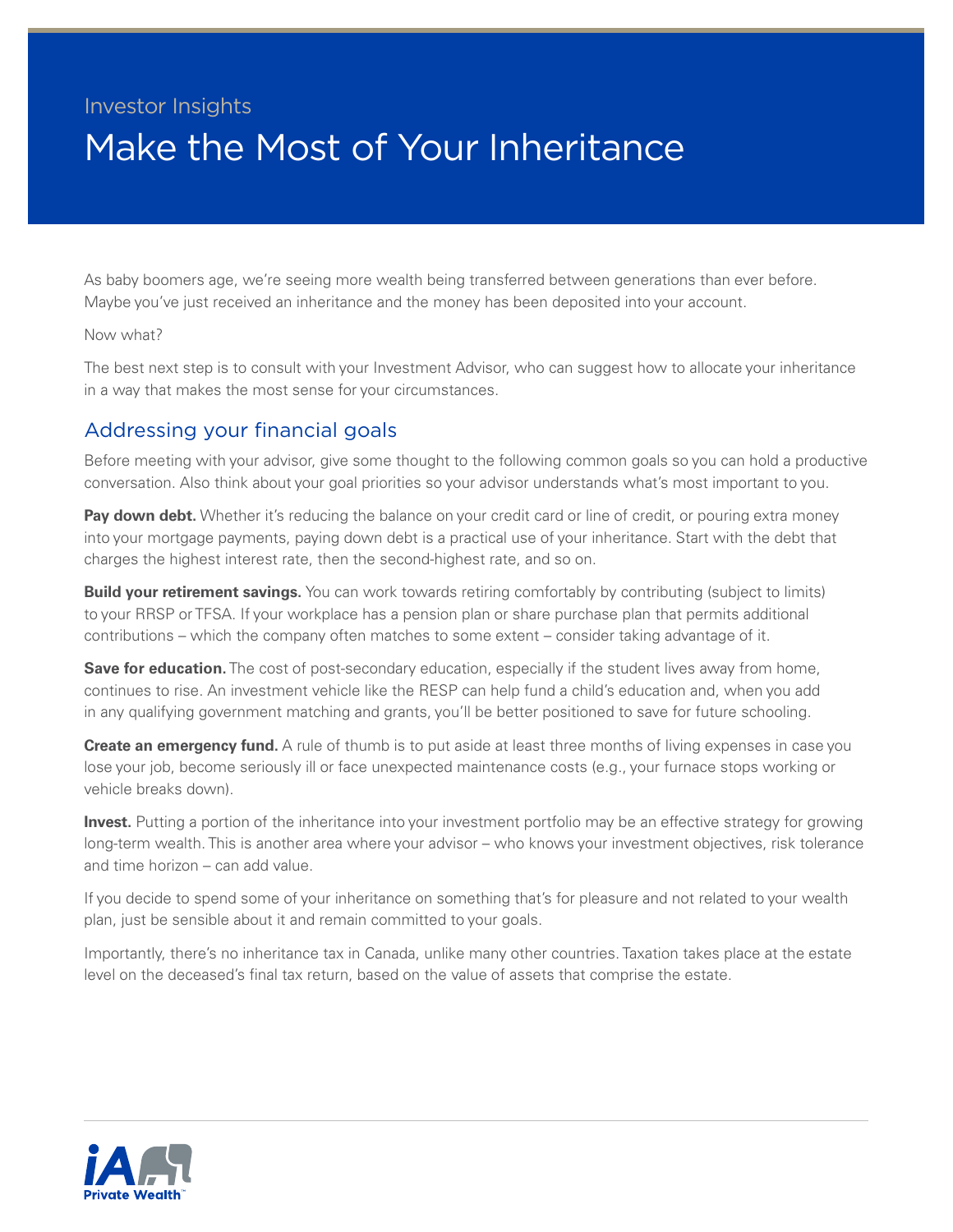# Investor Insights Make the Most of Your Inheritance

As baby boomers age, we're seeing more wealth being transferred between generations than ever before. Maybe you've just received an inheritance and the money has been deposited into your account.

### Now what?

The best next step is to consult with your Investment Advisor, who can suggest how to allocate your inheritance in a way that makes the most sense for your circumstances.

## Addressing your financial goals

Before meeting with your advisor, give some thought to the following common goals so you can hold a productive conversation. Also think about your goal priorities so your advisor understands what's most important to you.

**Pay down debt.** Whether it's reducing the balance on your credit card or line of credit, or pouring extra money into your mortgage payments, paying down debt is a practical use of your inheritance. Start with the debt that charges the highest interest rate, then the second-highest rate, and so on.

**Build your retirement savings.** You can work towards retiring comfortably by contributing (subject to limits) to your RRSP or TFSA. If your workplace has a pension plan or share purchase plan that permits additional contributions – which the company often matches to some extent – consider taking advantage of it.

**Save for education.** The cost of post-secondary education, especially if the student lives away from home, continues to rise. An investment vehicle like the RESP can help fund a child's education and, when you add in any qualifying government matching and grants, you'll be better positioned to save for future schooling.

**Create an emergency fund.** A rule of thumb is to put aside at least three months of living expenses in case you lose your job, become seriously ill or face unexpected maintenance costs (e.g., your furnace stops working or vehicle breaks down).

**Invest.** Putting a portion of the inheritance into your investment portfolio may be an effective strategy for growing long-term wealth. This is another area where your advisor – who knows your investment objectives, risk tolerance and time horizon – can add value.

If you decide to spend some of your inheritance on something that's for pleasure and not related to your wealth plan, just be sensible about it and remain committed to your goals.

Importantly, there's no inheritance tax in Canada, unlike many other countries. Taxation takes place at the estate level on the deceased's final tax return, based on the value of assets that comprise the estate.